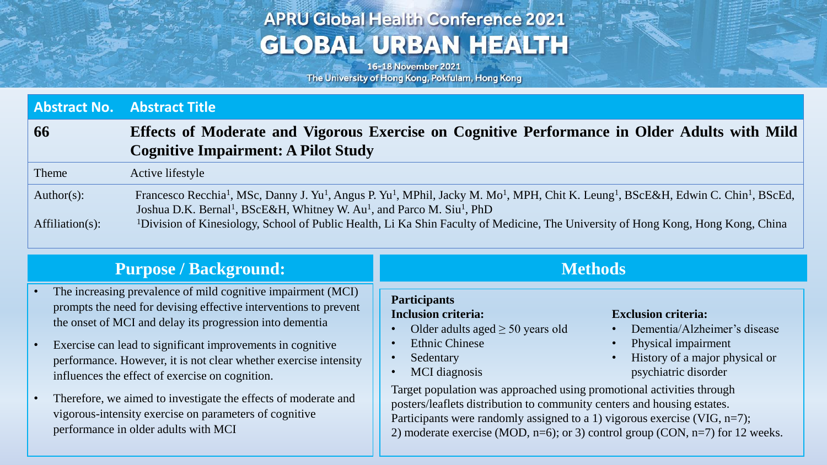# **APRU Global Health Conference 2021 GLOBAL URBAN HEALTH**

16-18 November 2021 The University of Hong Kong, Pokfulam, Hong Kong

Age State Plan

|                   | <b>Abstract No. Abstract Title</b>                                                                                                                                                                                                                                                                                        |  |
|-------------------|---------------------------------------------------------------------------------------------------------------------------------------------------------------------------------------------------------------------------------------------------------------------------------------------------------------------------|--|
| 66                | Effects of Moderate and Vigorous Exercise on Cognitive Performance in Older Adults with Mild<br><b>Cognitive Impairment: A Pilot Study</b>                                                                                                                                                                                |  |
| Theme             | Active lifestyle                                                                                                                                                                                                                                                                                                          |  |
| Author(s):        | Francesco Recchia <sup>1</sup> , MSc, Danny J. Yu <sup>1</sup> , Angus P. Yu <sup>1</sup> , MPhil, Jacky M. Mo <sup>1</sup> , MPH, Chit K. Leung <sup>1</sup> , BScE&H, Edwin C. Chin <sup>1</sup> , BScEd,<br>Joshua D.K. Bernal <sup>1</sup> , BScE&H, Whitney W. Au <sup>1</sup> , and Parco M. Siu <sup>1</sup> , PhD |  |
| $Affilation(s)$ : | <sup>1</sup> Division of Kinesiology, School of Public Health, Li Ka Shin Faculty of Medicine, The University of Hong Kong, Hong Kong, China                                                                                                                                                                              |  |

| <b>Purpose / Background:</b>                                                                                                                                                                                                                                                                                                                                                                                                                                                                                                                          | <b>Methods</b>                                                                                                                                                                                                                                                                                                                                                                                                                                                                                                                                                                                                                                        |  |
|-------------------------------------------------------------------------------------------------------------------------------------------------------------------------------------------------------------------------------------------------------------------------------------------------------------------------------------------------------------------------------------------------------------------------------------------------------------------------------------------------------------------------------------------------------|-------------------------------------------------------------------------------------------------------------------------------------------------------------------------------------------------------------------------------------------------------------------------------------------------------------------------------------------------------------------------------------------------------------------------------------------------------------------------------------------------------------------------------------------------------------------------------------------------------------------------------------------------------|--|
| The increasing prevalence of mild cognitive impairment (MCI)<br>prompts the need for devising effective interventions to prevent<br>the onset of MCI and delay its progression into dementia<br>Exercise can lead to significant improvements in cognitive<br>performance. However, it is not clear whether exercise intensity<br>influences the effect of exercise on cognition.<br>Therefore, we aimed to investigate the effects of moderate and<br>vigorous-intensity exercise on parameters of cognitive<br>performance in older adults with MCI | <b>Participants</b><br><b>Inclusion criteria:</b><br><b>Exclusion criteria:</b><br>Dementia/Alzheimer's disease<br>Older adults aged $\geq 50$ years old<br>$\bullet$<br><b>Ethnic Chinese</b><br>Physical impairment<br>$\bullet$<br>History of a major physical or<br>Sedentary<br>psychiatric disorder<br>MCI diagnosis<br>Target population was approached using promotional activities through<br>posters/leaflets distribution to community centers and housing estates.<br>Participants were randomly assigned to a 1) vigorous exercise (VIG, $n=7$ );<br>2) moderate exercise (MOD, $n=6$ ); or 3) control group (CON, $n=7$ ) for 12 weeks. |  |
|                                                                                                                                                                                                                                                                                                                                                                                                                                                                                                                                                       |                                                                                                                                                                                                                                                                                                                                                                                                                                                                                                                                                                                                                                                       |  |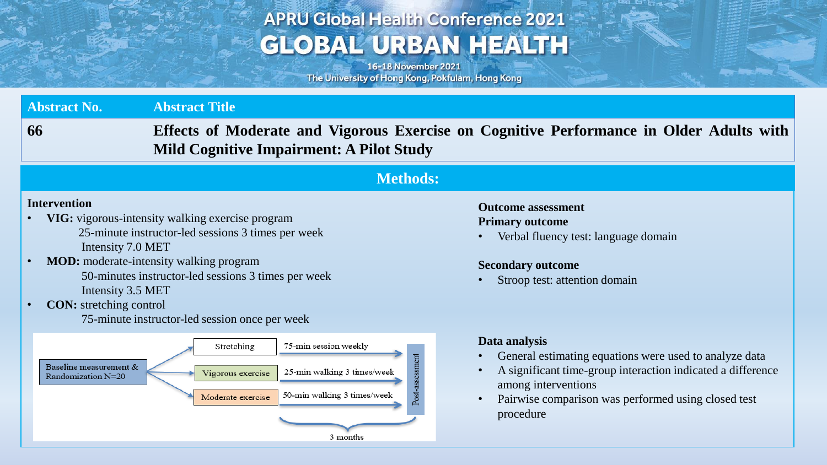# **APRU Global Health Conference 2021 GLOBAL URBAN HEALTH**

16-18 November 2021 The University of Hong Kong, Pokfulam, Hong Kong

**FOR APROVAL** 

| <b>Abstract No.</b>                                                                                          | <b>Abstract Title</b>                                                                                                                                                                                                                                             |                                                                                                                                                                                                                                   |  |  |
|--------------------------------------------------------------------------------------------------------------|-------------------------------------------------------------------------------------------------------------------------------------------------------------------------------------------------------------------------------------------------------------------|-----------------------------------------------------------------------------------------------------------------------------------------------------------------------------------------------------------------------------------|--|--|
| 66                                                                                                           | Effects of Moderate and Vigorous Exercise on Cognitive Performance in Older Adults with<br><b>Mild Cognitive Impairment: A Pilot Study</b>                                                                                                                        |                                                                                                                                                                                                                                   |  |  |
| <b>Methods:</b>                                                                                              |                                                                                                                                                                                                                                                                   |                                                                                                                                                                                                                                   |  |  |
| <b>Intervention</b><br>Intensity 7.0 MET<br>Intensity 3.5 MET<br><b>CON:</b> stretching control<br>$\bullet$ | VIG: vigorous-intensity walking exercise program<br>25-minute instructor-led sessions 3 times per week<br><b>MOD:</b> moderate-intensity walking program<br>50-minutes instructor-led sessions 3 times per week<br>75-minute instructor-led session once per week | <b>Outcome assessment</b><br><b>Primary outcome</b><br>Verbal fluency test: language domain<br><b>Secondary outcome</b><br>Stroop test: attention domain                                                                          |  |  |
| Baseline measurement &<br>Randomization N=20                                                                 | 75-min session weekly<br>Stretching<br>Post-assessment<br>25-min walking 3 times/week<br>Vigorous exercise<br>50-min walking 3 times/week<br>Moderate exercise<br>3 months                                                                                        | Data analysis<br>General estimating equations were used to analyze data<br>A significant time-group interaction indicated a difference<br>among interventions<br>Pairwise comparison was performed using closed test<br>procedure |  |  |